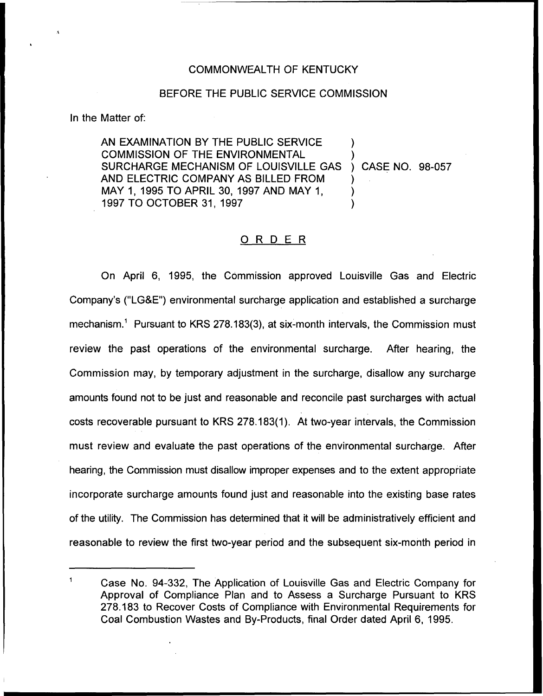# COMMONWEALTH OF KENTUCKY

### BEFORE THE PUBLIC SERVICE COMMISSION

In the Matter of:

AN EXAMINATION BY THE PUBLIC SERVICE COMMISSION OF THE ENVIRONMENTAL SURCHARGE MECHANISM OF LOUISVILLE GAS AND ELECTRIC COMPANY AS BILLED FROM MAY 1, 1995 TO APRIL 30, 1997 AND MAY 1, 1997 TO OCTOBER 31, 1997 ) ) ) CASE NO. 98-057 ) ) )

# ORDER

On April 6, 1995, the Commission approved Louisville Gas and Electric Company's ("LG&E") environmental surcharge application and established a surcharge mechanism." Pursuant to KRS 278.183(3), at six-month intervals, the Commission must review the past operations of the environmental surcharge. After hearing, the Commission may, by temporary adjustment in the surcharge, disallow any surcharge amounts found not to be just and reasonable and reconcile past surcharges with actual costs recoverable pursuant to KRS 278.183(1). At two-year intervals, the Commission must review and evaluate the past operations of the environmental surcharge. After hearing, the Commission must disallow improper expenses and to the extent appropriate incorporate surcharge amounts found just and reasonable into the existing base rates of the utility. The Commission has determined that it will be administratively efficient and reasonable to review the first two-year period and the subsequent six-month period in

 $\mathbf{1}$ Case No. 94-332, The Application of Louisville Gas and Electric Company for Approval of Compliance Plan and to Assess a Surcharge Pursuant to KRS 278.183 to Recover Costs of Compliance with Environmental Requirements for Coal Combustion Wastes and By-Products, final Order dated April 6, 1995.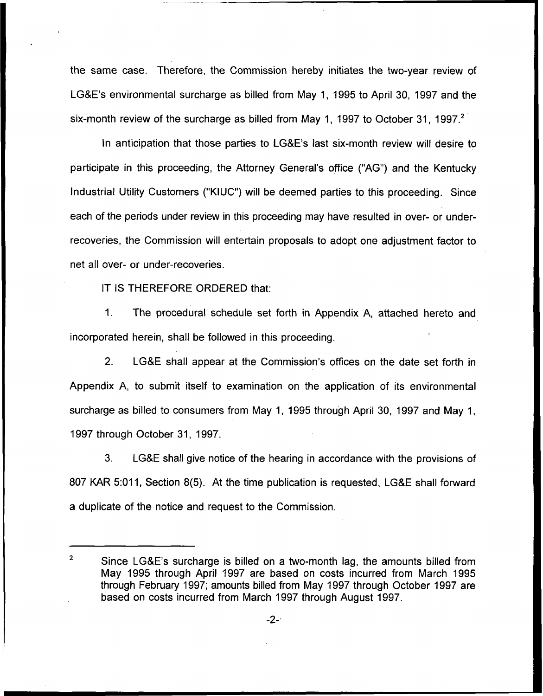the same case. Therefore, the Commission hereby initiates the two-year review of LGBE's environmental surcharge as billed from May 1, 1995 to April 30, 1997 and the six-month review of the surcharge as billed from May 1, 1997 to October 31, 1997.<sup>2</sup>

In anticipation that those parties to LG&E's last six-month review will desire to participate in this proceeding, the Attorney General's office ("AG") and the Kentucky Industrial Utility Customers ("KIUC") will be deemed parties to this proceeding. Since each of the periods under review in this proceeding may have resulted in over- or underrecoveries, the Commission will entertain proposals to adopt one adjustment factor to net all over- or under-recoveries.

IT IS THEREFORE ORDERED that:

1. The procedural schedule set forth in Appendix A, attached hereto and incorporated herein, shall be followed in this proceeding.

2. LGBE shall appear at the Commission's offices on the date set forth in Appendix A, to submit itself to examination on the application of its environmental surcharge as billed to consumers from May 1, 1995 through April 30, 1997 and May 1, 1997 through October 31, 1997.

3. LGBE shall give notice of the hearing in accordance with the provisions of 807 KAR 5:011, Section 8(5). At the time publication is requested, LG&E shall forward a duplicate of the notice and request to the Commission.

 $\overline{2}$ Since LGBE's surcharge is billed on a two-month lag, the amounts billed from May 1995 through April 1997 are based on costs incurred from March 1995 through February 1997; amounts billed from May 1997 through October 1997 are based on costs incurred from March 1997 through August 1997.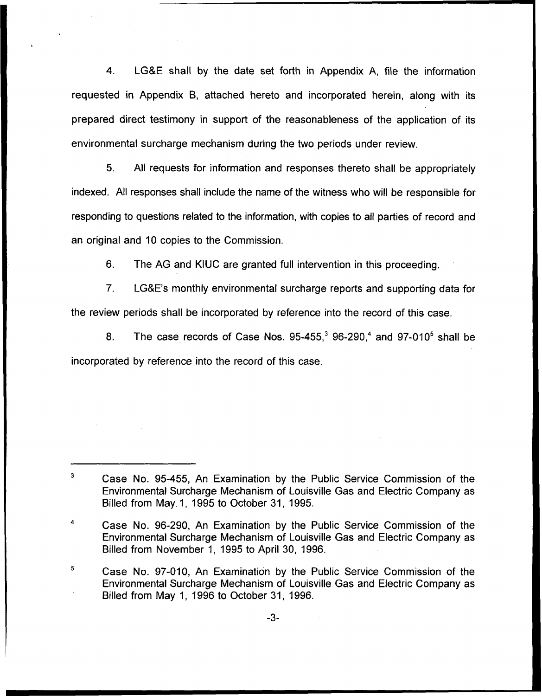4. LG8E shall by the date set forth in Appendix A, file the information requested in Appendix B, attached hereto and incorporated herein, along with its prepared direct testimony in support of the reasonableness of the application of its environmental surcharge mechanism during the two periods under review.

5. All requests for information and responses thereto shall be appropriately indexed. All responses shall include the name of the witness who will be responsible for responding to questions related to the information, with copies to all parties of record and an original and 10 copies to the Commission.

6. The AG and KIUC are granted full intervention in this proceeding.

7. LG8E's monthly environmental surcharge reports and supporting data for the review periods shall be incorporated by reference into the record of this case.

8. The case records of Case Nos.  $95-455$ ,  $96-290$ , and  $97-010^5$  shall be incorporated by reference into the record of this case.

 $\mathbf{3}$ Case No. 95-455, An Examination by the Public Service Commission of the Environmental Surcharge Mechanism of Louisville Gas and Electric Company as Billed from May 1, 1995 to October 31, 1995.

Case No. 96-290, An Examination by the Public Service Commission of the Environmental Surcharge Mechanism of Louisville Gas and Electric Company as Billed from November 1, 1995 to April 30, 1996.

<sup>5</sup> Case No. 97-010, An Examination by the Public Service Commission of the Environmental Surcharge Mechanism of <sup>I</sup> ouisville Gas and Electric Company as Billed from May 1, 1996 to October 31, 1996.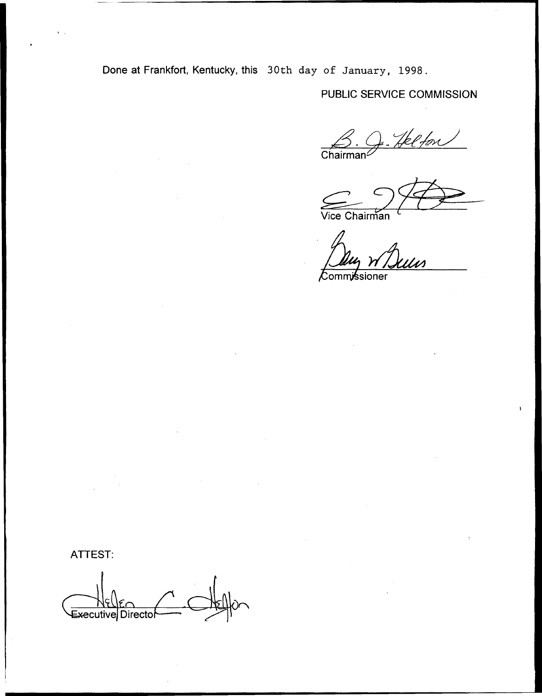Done at Frankfort, Kentucky, this 30th day of January, 1998.

PUBLIC SERVICE COMMISSION

Helfon  $\overbrace{Chairman}$ 

Vice Chairman

 $\overline{\mathcal{K}}$ ommissioner

ATTEST:

Executive Directo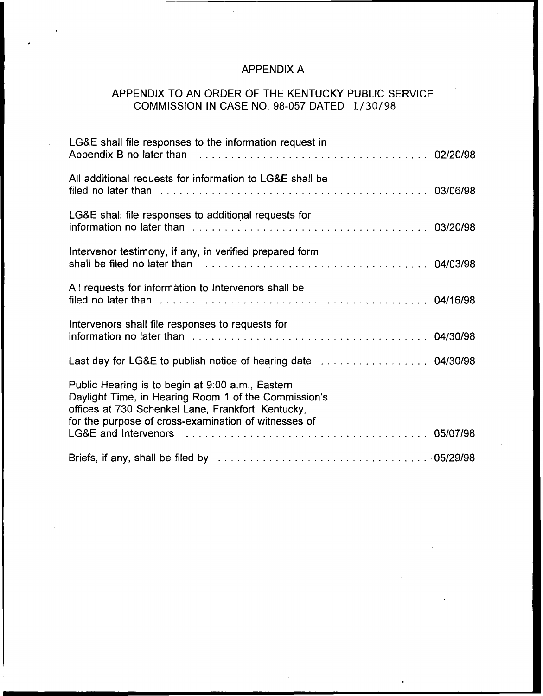# APPENDIX A

# APPENDIX TO AN ORDER OF THE KENTUCKY PUBLIC SERVICE COMMISSION IN CASE NO. 98-057 DATED 1/30/98

| LG&E shall file responses to the information request in                                                                                                                                                                |  |
|------------------------------------------------------------------------------------------------------------------------------------------------------------------------------------------------------------------------|--|
| All additional requests for information to LG&E shall be                                                                                                                                                               |  |
| LG&E shall file responses to additional requests for                                                                                                                                                                   |  |
| Intervenor testimony, if any, in verified prepared form<br>shall be filed no later than response to the contract of the contract of the contract of the shall be filed no                                              |  |
| All requests for information to Intervenors shall be<br>filed no later than we are not all the case of the contract than the contract of the contract of the contract of the 04/16/98                                  |  |
| Intervenors shall file responses to requests for                                                                                                                                                                       |  |
|                                                                                                                                                                                                                        |  |
| Public Hearing is to begin at 9:00 a.m., Eastern<br>Daylight Time, in Hearing Room 1 of the Commission's<br>offices at 730 Schenkel Lane, Frankfort, Kentucky,<br>for the purpose of cross-examination of witnesses of |  |
|                                                                                                                                                                                                                        |  |
|                                                                                                                                                                                                                        |  |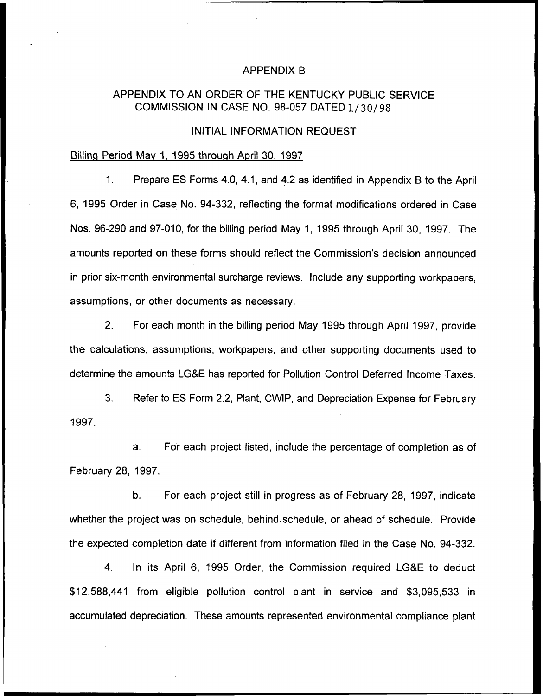#### APPENDIX B

# APPENDIX TO AN ORDER OF THE KENTUCKY PUBLIC SERVICE COMMISSION IN CASE NO. 98-057 DATED 1/30/98

# INITIAL INFORMATION REQUEST

# Billing Period Mav 1, 1995 through April 30, 1997

1. Prepare ES Forms 4.0, 4.1, and 4.2 as identified in Appendix B to the April 6, 1995 Order in Case No. 94-332, reflecting the format modifications ordered in Case Nos. 96-290 and 97-010, for the billing period May 1, 1995 through April 30, 1997. The amounts reported on these forms should reflect the Commission's decision announced in prior six-month environmental surcharge reviews. Include any supporting workpapers, assumptions, or other documents as necessary.

2. For each month in the billing period May 1995 through April 1997, provide the calculations, assumptions, workpapers, and other supporting documents used to determine the amounts LG8E has reported for Pollution Control Deferred Income Taxes.

3, Refer to ES Form 2.2, Plant, CWIP, and Depreciation Expense for February 1997.

a. For each project listed, include the percentage of completion as of February 28, 1997.

b. For each project still in progress as of February 28, 1997, indicate whether the project was on schedule, behind schedule, or ahead of schedule. Provide the expected completion date if different from information filed in the Case No. 94-332.

4. In its April 6, 1995 Order, the Commission required LG&E to deduct \$12,588,441 from eligible pollution control plant in service and \$3,095,533 in accumulated depreciation. These amounts represented environmental compliance plant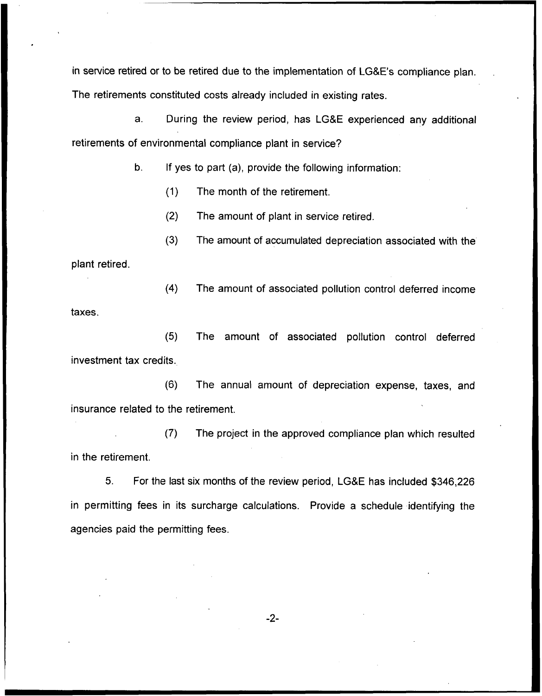in service retired or to be retired due to the implementation of LGBE's compliance plan. The retirements constituted costs already included in existing rates.

a. During the review period, has LG8E experienced any additional retirements of environmental compliance plant in service?

b. If yes to part (a), provide the following information:

(1) The month of the retirement.

(2) The amount of plant in service retired.

(3) The amount of accumulated depreciation associated with the

plant retired.

(4) The amount of associated pollution control deferred income taxes.

(5} The amount of associated pollution control deferred investment tax credits.

(6) The annual amount of depreciation expense, taxes, and insurance related to the retirement.

(7} The project in the approved compliance plan which resulted in the retirement.

5. For the last six months of the review period, LG&E has included \$346,226 in permitting fees in its surcharge calculations. Provide a schedule identifying the agencies paid the permitting fees.

 $-2-$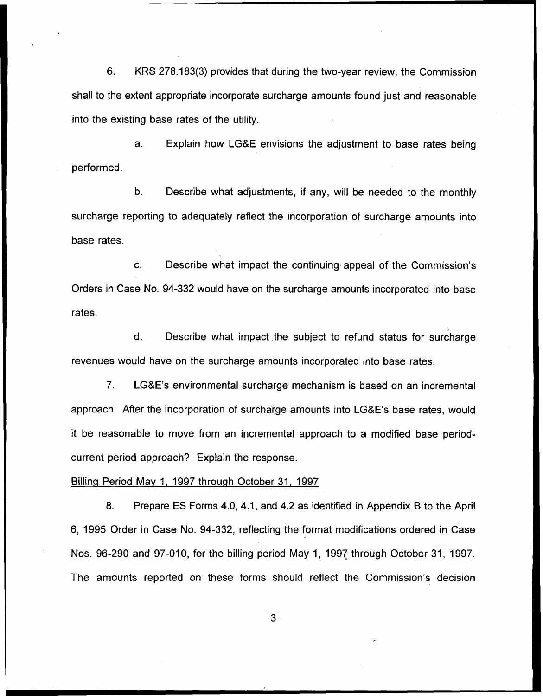6. KRS 278.183(3) provides that during the two-year review, the Commission shall to the extent appropriate incorporate surcharge amounts found just and reasonable into the existing base rates of the utility.

a. Explain how LG&E envisions the adjustment to base rates being performed.

b. Describe what adjustments, if any, will be needed to the monthly surcharge reporting to adequately reflect the incorporation of surcharge amounts into base rates.

Describe what impact the continuing appeal of the Commission's  $C_{\cdot}$ Orders in Case No. 94-332 would have on the surcharge amounts incorporated into base rates.

 $\mathsf{d}$ . Describe what impact, the subject to refund status for surcharge revenues would have on the surcharge amounts incorporated into base rates.

1

7. LG8E's environmental surcharge mechanism is based on an incremental approach. After the incorporation of surcharge amounts into LG8E's base rates, would it be reasonable to move from an incremental approach to a modified base periodcurrent period approach? Explain the response.

#### Billing Period Mav 1, 1997 through October 31, 1997

8. Prepare ES Forms 4.0, 4.1, and 4.2 as identified in Appendix B to the April 6, 1995 Order in Case No. 94-332, reflecting the format modifications ordered in Case Nos. 96-290 and 97-010, for the billing period May 1, 1997 through October 31, 1997. The amounts reported on these forms should reflect the Commission's decision

 $-3-$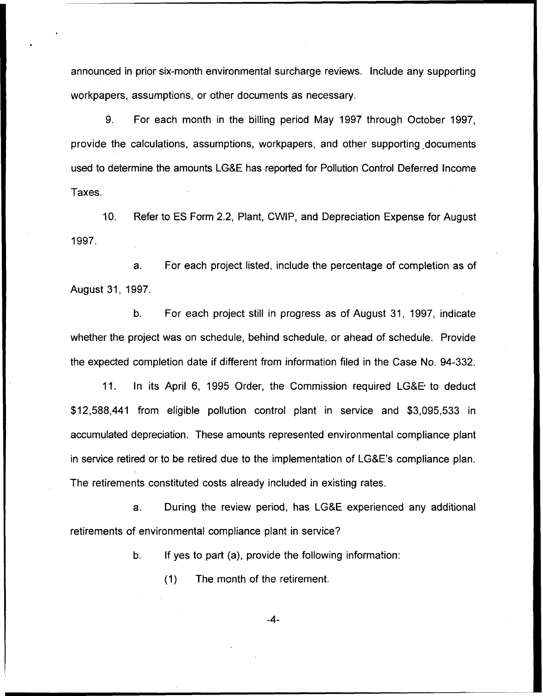announced in prior six-month environmental surcharge reviews. Include any supporting workpapers, assumptions, or other documents as necessary.

9. For each month in the billing period May 1997 through October 1997, provide the calculations, assumptions, workpapers, and other supporting documents used to determine the amounts LG&E has reported for Pollution Control Deferred Income Taxes.

10. Refer to ES Form 2.2, Plant, CWIP, and Depreciation Expense for August 1997.

a. For each project listed, include the percentage of completion as of August 31, 1997.

b. For each project still in progress as of August 31, 1997, indicate whether the project was on schedule, behind schedule, or ahead of schedule. Provide the expected completion date if different from information filed in the Case No. 94-332.

11. In its April 6, 1995 Order, the Commission required LG&E to deduct \$ 12,588,441 from eligible pollution control plant in service and \$3,095,533 in accumulated depreciation. These amounts represented environmental compliance plant in service retired or to be retired due to the implementation of LG&E's compliance plan. The retirements constituted costs already included in existing rates.

a. During the review period, has LGBE experienced any additional retirements of environmental compliance plant in service?

b. If yes to part (a), provide the following information:

(1) The month of the retirement.

-4-